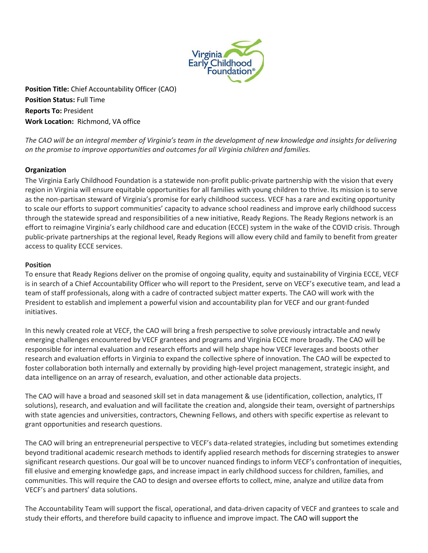

**Position Title:** Chief Accountability Officer (CAO) **Position Status:** Full Time **Reports To:** President **Work Location:** Richmond, VA office

*The CAO will be an integral member of Virginia's team in the development of new knowledge and insights for delivering on the promise to improve opportunities and outcomes for all Virginia children and families.*

## **Organization**

The Virginia Early Childhood Foundation is a statewide non-profit public-private partnership with the vision that every region in Virginia will ensure equitable opportunities for all families with young children to thrive. Its mission is to serve as the non-partisan steward of Virginia's promise for early childhood success. VECF has a rare and exciting opportunity to scale our efforts to support communities' capacity to advance school readiness and improve early childhood success through the statewide spread and responsibilities of a new initiative, Ready Regions. The Ready Regions network is an effort to reimagine Virginia's early childhood care and education (ECCE) system in the wake of the COVID crisis. Through public-private partnerships at the regional level, Ready Regions will allow every child and family to benefit from greater access to quality ECCE services.

## **Position**

To ensure that Ready Regions deliver on the promise of ongoing quality, equity and sustainability of Virginia ECCE, VECF is in search of a Chief Accountability Officer who will report to the President, serve on VECF's executive team, and lead a team of staff professionals, along with a cadre of contracted subject matter experts. The CAO will work with the President to establish and implement a powerful vision and accountability plan for VECF and our grant-funded initiatives.

In this newly created role at VECF, the CAO will bring a fresh perspective to solve previously intractable and newly emerging challenges encountered by VECF grantees and programs and Virginia ECCE more broadly. The CAO will be responsible for internal evaluation and research efforts and will help shape how VECF leverages and boosts other research and evaluation efforts in Virginia to expand the collective sphere of innovation. The CAO will be expected to foster collaboration both internally and externally by providing high-level project management, strategic insight, and data intelligence on an array of research, evaluation, and other actionable data projects.

The CAO will have a broad and seasoned skill set in data management & use (identification, collection, analytics, IT solutions), research, and evaluation and will facilitate the creation and, alongside their team, oversight of partnerships with state agencies and universities, contractors, Chewning Fellows, and others with specific expertise as relevant to grant opportunities and research questions.

The CAO will bring an entrepreneurial perspective to VECF's data-related strategies, including but sometimes extending beyond traditional academic research methods to identify applied research methods for discerning strategies to answer significant research questions. Our goal will be to uncover nuanced findings to inform VECF's confrontation of inequities, fill elusive and emerging knowledge gaps, and increase impact in early childhood success for children, families, and communities. This will require the CAO to design and oversee efforts to collect, mine, analyze and utilize data from VECF's and partners' data solutions.

The Accountability Team will support the fiscal, operational, and data-driven capacity of VECF and grantees to scale and study their efforts, and therefore build capacity to influence and improve impact. The CAO will support the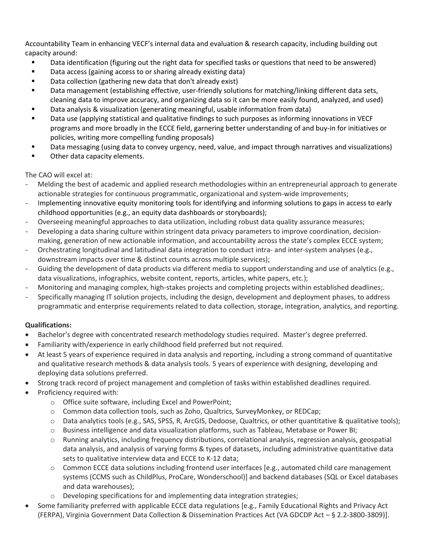Accountability Team in enhancing VECF's internal data and evaluation & research capacity, including building out capacity around:

- Data identification (figuring out the right data for specified tasks or questions that need to be answered)
- Data access (gaining access to or sharing already existing data)
- Data collection (gathering new data that don't already exist)
- Data management (establishing effective, user-friendly solutions for matching/linking different data sets, cleaning data to improve accuracy, and organizing data so it can be more easily found, analyzed, and used)
- Data analysis & visualization (generating meaningful, usable information from data)
- Data use (applying statistical and qualitative findings to such purposes as informing innovations in VECF programs and more broadly in the ECCE field, garnering better understanding of and buy-in for initiatives or policies, writing more compelling funding proposals)
- Data messaging (using data to convey urgency, need, value, and impact through narratives and visualizations)
- Other data capacity elements.

The CAO will excel at:

- Melding the best of academic and applied research methodologies within an entrepreneurial approach to generate actionable strategies for continuous programmatic, organizational and system-wide improvements;
- Implementing innovative equity monitoring tools for identifying and informing solutions to gaps in access to early childhood opportunities (e.g., an equity data dashboards or storyboards);
- Overseeing meaningful approaches to data utilization, including robust data quality assurance measures;
- Developing a data sharing culture within stringent data privacy parameters to improve coordination, decisionmaking, generation of new actionable information, and accountability across the state's complex ECCE system;
- Orchestrating longitudinal and latitudinal data integration to conduct intra- and inter-system analyses (e.g., downstream impacts over time & distinct counts across multiple services);
- Guiding the development of data products via different media to support understanding and use of analytics (e.g., data visualizations, infographics, website content, reports, articles, white papers, etc.);
- Monitoring and managing complex, high-stakes projects and completing projects within established deadlines;.
- Specifically managing IT solution projects, including the design, development and deployment phases, to address programmatic and enterprise requirements related to data collection, storage, integration, analytics, and reporting.

## **Qualifications:**

- Bachelor's degree with concentrated research methodology studies required. Master's degree preferred.
- Familiarity with/experience in early childhood field preferred but not required.
- At least 5 years of experience required in data analysis and reporting, including a strong command of quantitative and qualitative research methods & data analysis tools. 5 years of experience with designing, developing and deploying data solutions preferred.
- Strong track record of project management and completion of tasks within established deadlines required.
- Proficiency required with:
	- o Office suite software, including Excel and PowerPoint;
	- o Common data collection tools, such as Zoho, Qualtrics, SurveyMonkey, or REDCap;
	- o Data analytics tools (e.g., SAS, SPSS, R, ArcGIS, Dedoose, Qualtrics, or other quantitative & qualitative tools);
	- o Business intelligence and data visualization platforms, such as Tableau, Metabase or Power BI;
	- o Running analytics, including frequency distributions, correlational analysis, regression analysis, geospatial data analysis, and analysis of varying forms & types of datasets, including administrative quantitative data sets to qualitative interview data and ECCE to K-12 data;
	- o Common ECCE data solutions including frontend user interfaces [e.g., automated child care management systems (CCMS such as ChildPlus, ProCare, Wonderschool)] and backend databases (SQL or Excel databases and data warehouses);
	- $\circ$  Developing specifications for and implementing data integration strategies;
- Some familiarity preferred with applicable ECCE data regulations [e.g., Family Educational Rights and Privacy Act (FERPA), Virginia Government Data Collection & Dissemination Practices Act (VA GDCDP Act – § 2.2-3800-3809)].